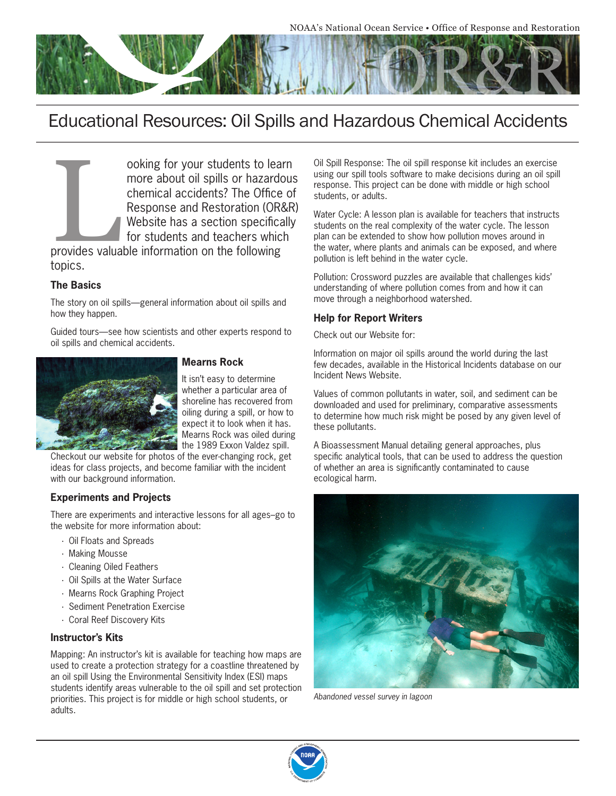

# Educational Resources: Oil Spills and Hazardous Chemical Accidents

ooking for your students to learn<br>more about oil spills or hazardous<br>chemical accidents? The Office of<br>Response and Restoration (OR&R<br>Website has a section specifically<br>for students and teachers which<br>provides valuable inf more about oil spills or hazardous chemical accidents? The Office of Response and Restoration (OR&R) Website has a section specifically for students and teachers which

provides valuable information on the following topics.

#### **The Basics**

The story on oil spills—general information about oil spills and how they happen.

Guided tours—see how scientists and other experts respond to oil spills and chemical accidents.



## **Mearns Rock**

It isn't easy to determine whether a particular area of shoreline has recovered from oiling during a spill, or how to expect it to look when it has. Mearns Rock was oiled during the 1989 Exxon Valdez spill.

Checkout our website for photos of the ever-changing rock, get ideas for class projects, and become familiar with the incident with our background information.

#### **Experiments and Projects**

There are experiments and interactive lessons for all ages–go to the website for more information about:

- · Oil Floats and Spreads
- · Making Mousse
- · Cleaning Oiled Feathers
- · Oil Spills at the Water Surface
- · Mearns Rock Graphing Project
- · Sediment Penetration Exercise
- · Coral Reef Discovery Kits

#### **Instructor's Kits**

Mapping: An instructor's kit is available for teaching how maps are used to create a protection strategy for a coastline threatened by an oil spill Using the Environmental Sensitivity Index (ESI) maps students identify areas vulnerable to the oil spill and set protection priorities. This project is for middle or high school students, or adults.

Oil Spill Response: The oil spill response kit includes an exercise using our spill tools software to make decisions during an oil spill response. This project can be done with middle or high school students, or adults.

Water Cycle: A lesson plan is available for teachers that instructs students on the real complexity of the water cycle. The lesson plan can be extended to show how pollution moves around in the water, where plants and animals can be exposed, and where pollution is left behind in the water cycle.

Pollution: Crossword puzzles are available that challenges kids' understanding of where pollution comes from and how it can move through a neighborhood watershed.

## **Help for Report Writers**

Check out our Website for:

Information on major oil spills around the world during the last few decades, available in the Historical Incidents database on our Incident News Website.

Values of common pollutants in water, soil, and sediment can be downloaded and used for preliminary, comparative assessments to determine how much risk might be posed by any given level of these pollutants.

A Bioassessment Manual detailing general approaches, plus specific analytical tools, that can be used to address the question of whether an area is significantly contaminated to cause ecological harm.



Abandoned vessel survey in lagoon